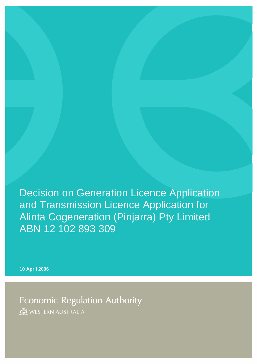Decision on Generation Licence Application and Transmission Licence Application for Alinta Cogeneration (Pinjarra) Pty Limited ABN 12 102 893 309

**10 April 2006** 

**Economic Regulation Authority** WESTERN AUSTRALIA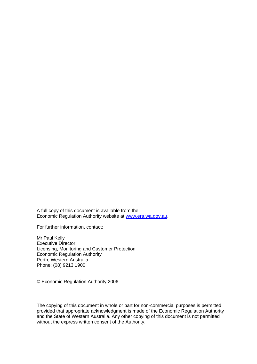A full copy of this document is available from the Economic Regulation Authority website at [www.era.wa.gov.au](http://www.era.wa.gov.au/).

For further information, contact:

Mr Paul Kelly Executive Director Licensing, Monitoring and Customer Protection Economic Regulation Authority Perth, Western Australia Phone: (08) 9213 1900

© Economic Regulation Authority 2006

The copying of this document in whole or part for non-commercial purposes is permitted provided that appropriate acknowledgment is made of the Economic Regulation Authority and the State of Western Australia. Any other copying of this document is not permitted without the express written consent of the Authority.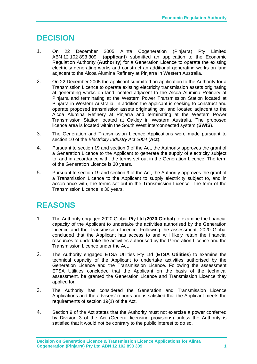## **DECISION**

- 1. On 22 December 2005 Alinta Cogeneration (Pinjarra) Pty Limited ABN 12 102 893 309 (**applicant**) submitted an application to the Economic Regulation Authority (**Authority**) for a Generation Licence to operate the existing electricity generating works and construct an additional generating works on land adjacent to the Alcoa Alumina Refinery at Pinjarra in Western Australia.
- 2. On 22 December 2005 the applicant submitted an application to the Authority for a Transmission Licence to operate existing electricity transmission assets originating at generating works on land located adjacent to the Alcoa Alumina Refinery at Pinjarra and terminating at the Western Power Transmission Station located at Pinjarra in Western Australia. In addition the applicant is seeking to construct and operate proposed transmission assets originating on land located adjacent to the Alcoa Alumina Refinery at Pinjarra and terminating at the Western Power Transmission Station located at Oakley in Western Australia. The proposed licence area is located within the South West interconnected system (**SWIS**).
- 3. The Generation and Transmission Licence Applications were made pursuant to section 10 of the *Electricity Industry Act 2004* (**Act**).
- 4. Pursuant to section 19 and section 9 of the Act, the Authority approves the grant of a Generation Licence to the Applicant to generate the supply of electricity subject to, and in accordance with, the terms set out in the Generation Licence. The term of the Generation Licence is 30 years.
- 5. Pursuant to section 19 and section 9 of the Act, the Authority approves the grant of a Transmission Licence to the Applicant to supply electricity subject to, and in accordance with, the terms set out in the Transmission Licence. The term of the Transmission Licence is 30 years.

## **REASONS**

- 1. The Authority engaged 2020 Global Pty Ltd (**2020 Global**) to examine the financial capacity of the Applicant to undertake the activities authorised by the Generation Licence and the Transmission Licence. Following the assessment, 2020 Global concluded that the Applicant has access to and will likely retain the financial resources to undertake the activities authorised by the Generation Licence and the Transmission Licence under the Act.
- 2. The Authority engaged ETSA Utilities Pty Ltd (**ETSA Utilities**) to examine the technical capacity of the Applicant to undertake activities authorised by the Generation Licence and the Transmission Licence. Following the assessment ETSA Utilities concluded that the Applicant on the basis of the technical assessment, be granted the Generation Licence and Transmission Licence they applied for.
- 3. The Authority has considered the Generation and Transmission Licence Applications and the advisers' reports and is satisfied that the Applicant meets the requirements of section 19(1) of the Act.
- 4. Section 9 of the Act states that the Authority must not exercise a power conferred by Division 3 of the Act (General licensing provisions) unless the Authority is satisfied that it would not be contrary to the public interest to do so.